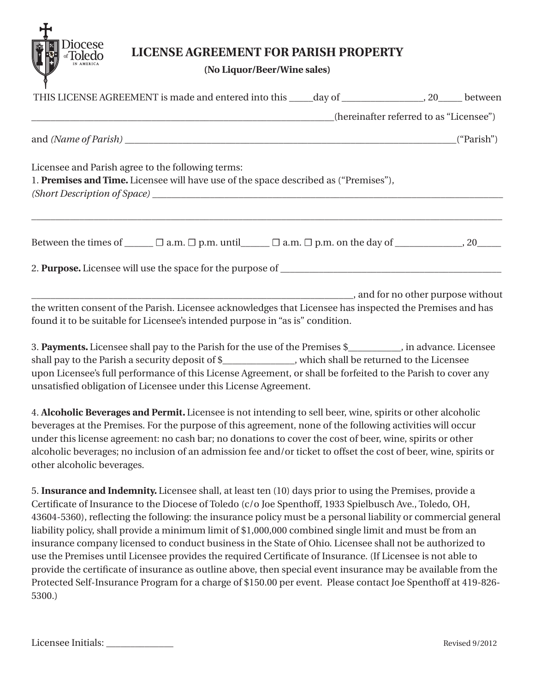

## **LICENSE AGREEMENT FOR PARISH PROPERTY**

**(No Liquor/Beer/Wine sales)**

| THIS LICENSE AGREEMENT is made and entered into this _____day of ________________, 20_____ between                                                                                         |  |
|--------------------------------------------------------------------------------------------------------------------------------------------------------------------------------------------|--|
|                                                                                                                                                                                            |  |
|                                                                                                                                                                                            |  |
| Licensee and Parish agree to the following terms:<br>1. Premises and Time. Licensee will have use of the space described as ("Premises"),                                                  |  |
| Between the times of $\Box$ $\Box$ a.m. $\Box$ p.m. until $\Box$ $\Box$ a.m. $\Box$ p.m. on the day of $\Box$ , 20                                                                         |  |
|                                                                                                                                                                                            |  |
| and for no other purpose without the same contract of the set of the set of the set of the set of the set of t                                                                             |  |
| the written consent of the Parish. Licensee acknowledges that Licensee has inspected the Premises and has<br>found it to be suitable for Licensee's intended purpose in "as is" condition. |  |

3. **Payments.** Licensee shall pay to the Parish for the use of the Premises \$\_\_\_\_\_\_\_\_\_\_\_, in advance. Licensee shall pay to the Parish a security deposit of \$\_\_\_\_\_\_\_\_\_\_\_\_, which shall be returned to the Licensee upon Licensee's full performance of this License Agreement, or shall be forfeited to the Parish to cover any unsatisfied obligation of Licensee under this License Agreement.

4. **Alcoholic Beverages and Permit.** Licensee is not intending to sell beer, wine, spirits or other alcoholic beverages at the Premises. For the purpose of this agreement, none of the following activities will occur under this license agreement: no cash bar; no donations to cover the cost of beer, wine, spirits or other alcoholic beverages; no inclusion of an admission fee and/or ticket to offset the cost of beer, wine, spirits or other alcoholic beverages.

5. **Insurance and Indemnity.** Licensee shall, at least ten (10) days prior to using the Premises, provide a Certificate of Insurance to the Diocese of Toledo (c/o Joe Spenthoff, 1933 Spielbusch Ave., Toledo, OH, 43604-5360), reflecting the following: the insurance policy must be a personal liability or commercial general liability policy, shall provide a minimum limit of \$1,000,000 combined single limit and must be from an insurance company licensed to conduct business in the State of Ohio. Licensee shall not be authorized to use the Premises until Licensee provides the required Certificate of Insurance. (If Licensee is not able to provide the certificate of insurance as outline above, then special event insurance may be available from the Protected Self-Insurance Program for a charge of \$150.00 per event. Please contact Joe Spenthoff at 419-826- 5300.)